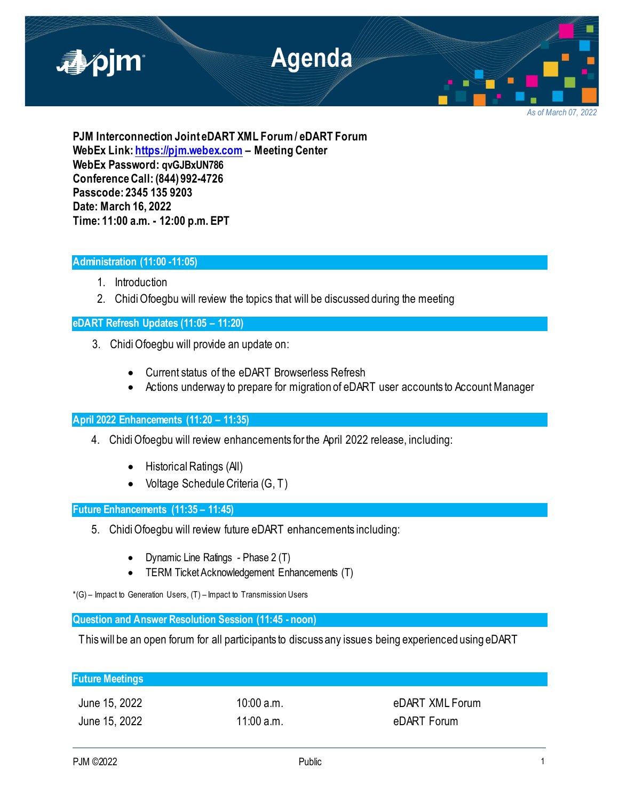

*As of March 07, 2022*

**PJM Interconnection Joint eDART XML Forum / eDART Forum WebEx Link[: https://pjm.webex.com](https://pjm.webex.com/) – Meeting Center WebEx Password: qvGJBxUN786 Conference Call: (844) 992-4726 Passcode: 2345 135 9203 Date: March 16, 2022 Time: 11:00 a.m. - 12:00 p.m. EPT**

# **Administration (11:00 -11:05)**

- 1. Introduction
- 2. Chidi Ofoegbu will review the topics that will be discussed during the meeting

# **eDART Refresh Updates (11:05 – 11:20)**

- 3. Chidi Ofoegbu will provide an update on:
	- Current status of the eDART Browserless Refresh
	- Actions underway to prepare for migration of eDART user accounts to Account Manager

# **April 2022 Enhancements (11:20 – 11:35)**

- 4. Chidi Ofoegbu will review enhancements for the April 2022 release, including:
	- Historical Ratings (All)
	- Voltage Schedule Criteria (G, T)

**Future Enhancements (11:35 – 11:45)**

- 5. Chidi Ofoegbu will review future eDART enhancements including:
	- Dynamic Line Ratings Phase 2 (T)
	- TERM Ticket Acknowledgement Enhancements (T)

 $*(G)$  – Impact to Generation Users,  $(T)$  – Impact to Transmission Users

**Question and Answer Resolution Session (11:45 - noon)**

This will be an open forum for all participants to discuss any issues being experienced using eDART

| <b>Future Meetings</b> |              |                 |
|------------------------|--------------|-----------------|
| June 15, 2022          | $10:00$ a.m. | eDART XML Forum |
| June 15, 2022          | 11:00 a.m.   | eDART Forum     |